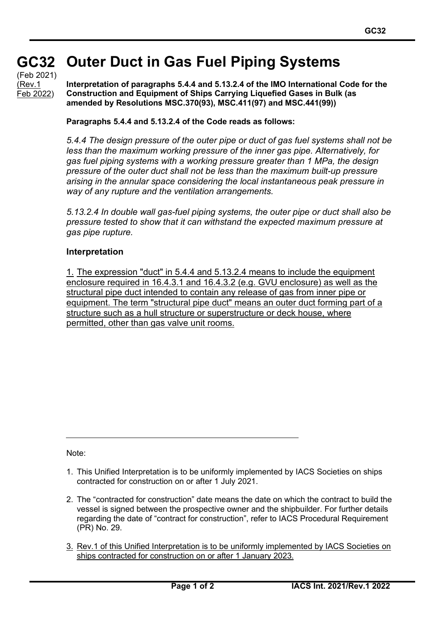## **GC32 GC32 Outer Duct in Gas Fuel Piping Systems**

(Feb 2021) (Rev.1 Feb 2022)

**Interpretation of paragraphs 5.4.4 and 5.13.2.4 of the IMO International Code for the Construction and Equipment of Ships Carrying Liquefied Gases in Bulk (as amended by Resolutions MSC.370(93), MSC.411(97) and MSC.441(99))**

## **Paragraphs 5.4.4 and 5.13.2.4 of the Code reads as follows:**

*5.4.4 The design pressure of the outer pipe or duct of gas fuel systems shall not be less than the maximum working pressure of the inner gas pipe. Alternatively, for gas fuel piping systems with a working pressure greater than 1 MPa, the design pressure of the outer duct shall not be less than the maximum built-up pressure arising in the annular space considering the local instantaneous peak pressure in way of any rupture and the ventilation arrangements.*

*5.13.2.4 In double wall gas-fuel piping systems, the outer pipe or duct shall also be pressure tested to show that it can withstand the expected maximum pressure at gas pipe rupture.*

## **Interpretation**

1. The expression "duct" in 5.4.4 and 5.13.2.4 means to include the equipment enclosure required in 16.4.3.1 and 16.4.3.2 (e.g. GVU enclosure) as well as the structural pipe duct intended to contain any release of gas from inner pipe or equipment. The term "structural pipe duct" means an outer duct forming part of a structure such as a hull structure or superstructure or deck house, where permitted, other than gas valve unit rooms.

Note:

- 1. This Unified Interpretation is to be uniformly implemented by IACS Societies on ships contracted for construction on or after 1 July 2021.
- 2. The "contracted for construction" date means the date on which the contract to build the vessel is signed between the prospective owner and the shipbuilder. For further details regarding the date of "contract for construction", refer to IACS Procedural Requirement (PR) No. 29.
- 3. Rev.1 of this Unified Interpretation is to be uniformly implemented by IACS Societies on ships contracted for construction on or after 1 January 2023.